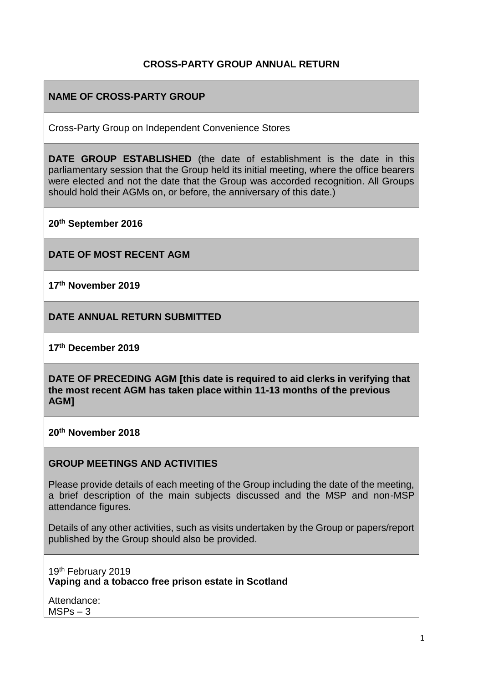### **CROSS-PARTY GROUP ANNUAL RETURN**

## **NAME OF CROSS-PARTY GROUP**

Cross-Party Group on Independent Convenience Stores

**DATE GROUP ESTABLISHED** (the date of establishment is the date in this parliamentary session that the Group held its initial meeting, where the office bearers were elected and not the date that the Group was accorded recognition. All Groups should hold their AGMs on, or before, the anniversary of this date.)

**20th September 2016**

**DATE OF MOST RECENT AGM**

**17th November 2019**

**DATE ANNUAL RETURN SUBMITTED**

**17th December 2019** 

**DATE OF PRECEDING AGM [this date is required to aid clerks in verifying that the most recent AGM has taken place within 11-13 months of the previous AGM]**

**20th November 2018**

#### **GROUP MEETINGS AND ACTIVITIES**

Please provide details of each meeting of the Group including the date of the meeting, a brief description of the main subjects discussed and the MSP and non-MSP attendance figures.

Details of any other activities, such as visits undertaken by the Group or papers/report published by the Group should also be provided.

19th February 2019 **Vaping and a tobacco free prison estate in Scotland** 

Attendance:  $MSPs - 3$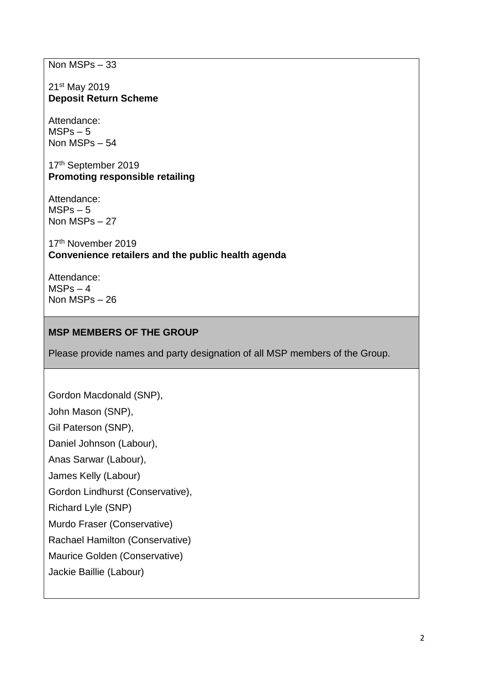Non MSPs – 33

21st May 2019 **Deposit Return Scheme** 

Attendance:  $MSPs - 5$ Non MSPs – 54

17th September 2019 **Promoting responsible retailing**

Attendance:  $MSPs - 5$ Non MSPs – 27

17th November 2019 **Convenience retailers and the public health agenda** 

Attendance:  $MSPs - 4$ Non MSPs – 26

### **MSP MEMBERS OF THE GROUP**

Please provide names and party designation of all MSP members of the Group.

Gordon Macdonald (SNP), John Mason (SNP), Gil Paterson (SNP), Daniel Johnson (Labour), Anas Sarwar (Labour), James Kelly (Labour) Gordon Lindhurst (Conservative), Richard Lyle (SNP) Murdo Fraser (Conservative) Rachael Hamilton (Conservative) Maurice Golden (Conservative) Jackie Baillie (Labour)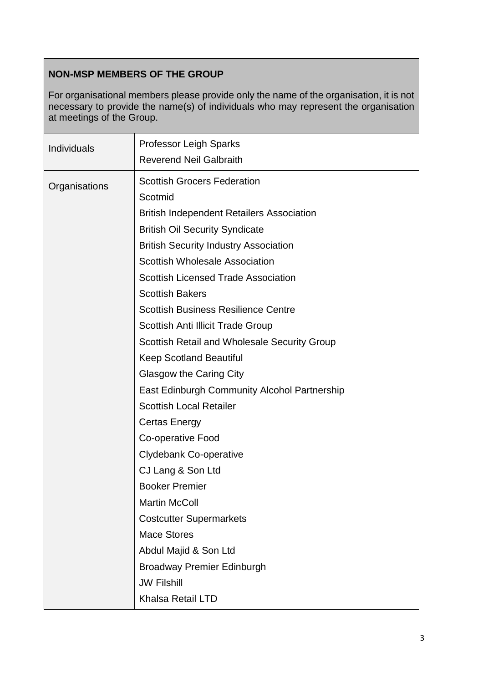# **NON-MSP MEMBERS OF THE GROUP**

For organisational members please provide only the name of the organisation, it is not necessary to provide the name(s) of individuals who may represent the organisation at meetings of the Group.

| <b>Individuals</b> | <b>Professor Leigh Sparks</b><br><b>Reverend Neil Galbraith</b> |
|--------------------|-----------------------------------------------------------------|
| Organisations      | <b>Scottish Grocers Federation</b><br>Scotmid                   |
|                    | <b>British Independent Retailers Association</b>                |
|                    | <b>British Oil Security Syndicate</b>                           |
|                    | <b>British Security Industry Association</b>                    |
|                    | <b>Scottish Wholesale Association</b>                           |
|                    | <b>Scottish Licensed Trade Association</b>                      |
|                    | <b>Scottish Bakers</b>                                          |
|                    | <b>Scottish Business Resilience Centre</b>                      |
|                    | <b>Scottish Anti Illicit Trade Group</b>                        |
|                    | <b>Scottish Retail and Wholesale Security Group</b>             |
|                    | <b>Keep Scotland Beautiful</b>                                  |
|                    | <b>Glasgow the Caring City</b>                                  |
|                    | East Edinburgh Community Alcohol Partnership                    |
|                    | <b>Scottish Local Retailer</b>                                  |
|                    | <b>Certas Energy</b>                                            |
|                    | Co-operative Food                                               |
|                    | <b>Clydebank Co-operative</b>                                   |
|                    | CJ Lang & Son Ltd                                               |
|                    | <b>Booker Premier</b>                                           |
|                    | <b>Martin McColl</b>                                            |
|                    | <b>Costcutter Supermarkets</b>                                  |
|                    | <b>Mace Stores</b>                                              |
|                    | Abdul Majid & Son Ltd                                           |
|                    | <b>Broadway Premier Edinburgh</b>                               |
|                    | <b>JW Filshill</b>                                              |
|                    | Khalsa Retail LTD                                               |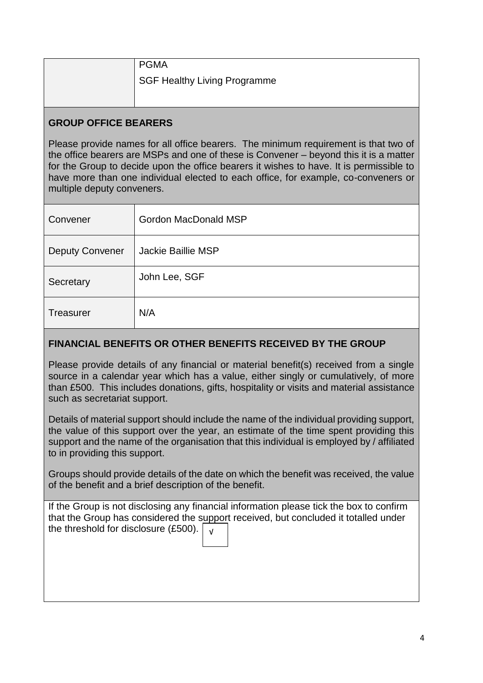| <b>PGMA</b>                  |
|------------------------------|
| SGF Healthy Living Programme |
|                              |

### **GROUP OFFICE BEARERS**

Please provide names for all office bearers. The minimum requirement is that two of the office bearers are MSPs and one of these is Convener – beyond this it is a matter for the Group to decide upon the office bearers it wishes to have. It is permissible to have more than one individual elected to each office, for example, co-conveners or multiple deputy conveners.

| Convener               | <b>Gordon MacDonald MSP</b> |
|------------------------|-----------------------------|
| <b>Deputy Convener</b> | <b>Jackie Baillie MSP</b>   |
| Secretary              | John Lee, SGF               |
| <b>Treasurer</b>       | N/A                         |

## **FINANCIAL BENEFITS OR OTHER BENEFITS RECEIVED BY THE GROUP**

Please provide details of any financial or material benefit(s) received from a single source in a calendar year which has a value, either singly or cumulatively, of more than £500. This includes donations, gifts, hospitality or visits and material assistance such as secretariat support.

Details of material support should include the name of the individual providing support, the value of this support over the year, an estimate of the time spent providing this support and the name of the organisation that this individual is employed by / affiliated to in providing this support.

Groups should provide details of the date on which the benefit was received, the value of the benefit and a brief description of the benefit.

If the Group is not disclosing any financial information please tick the box to confirm that the Group has considered the support received, but concluded it totalled under the threshold for disclosure (£500).  $\sqrt{v}$